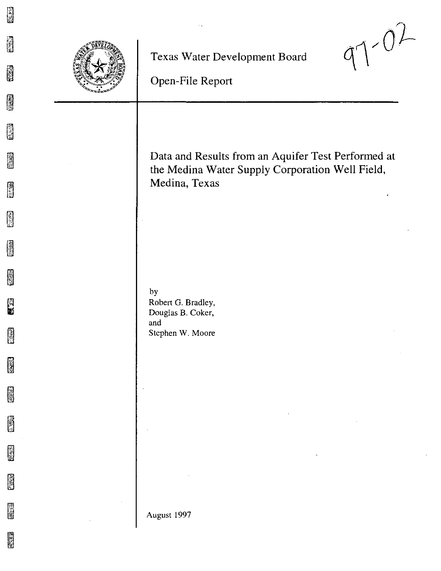

**Texas Water Development Board**



**Open-File Report**

| Data and Results from an Aquifer Test Performed at<br>the Medina Water Supply Corporation Well Field,<br>Medina, Texas |
|------------------------------------------------------------------------------------------------------------------------|
| by<br>Robert G. Bradley,<br>Douglas B. Coker,<br>and<br>Stephen W. Moore                                               |
| August 1997                                                                                                            |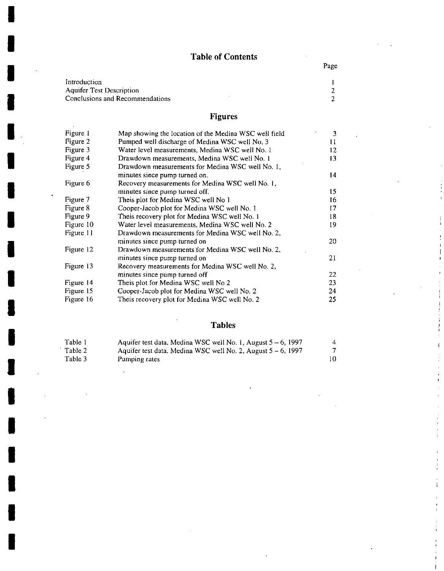# **Table of Contents**

Page

| Introduction                    |   |
|---------------------------------|---|
| Aquifer Test Description        | 2 |
| Conclusions and Recommendations | 2 |
|                                 |   |

# **Figures**

| Figure 1  | Map showing the location of the Medina WSC well field | 3   |
|-----------|-------------------------------------------------------|-----|
| Figure 2  | Pumped well discharge of Medina WSC well No. 3        | 11  |
| Figure 3  | Water level measurements, Medina WSC well No. 1       | 12. |
| Figure 4  | Drawdown measurements, Medina WSC well No. 1          | 13  |
| Figure 5  | Drawdown measurements for Medina WSC well No. 1,      |     |
|           | minutes since pump turned on.                         | 14  |
| Figure 6  | Recovery measurements for Medina WSC well No. 1,      |     |
|           | minutes since pump turned off.                        | 15. |
| Figure 7  | Theis plot for Medina WSC well No 1                   | 16  |
| Figure 8  | Cooper-Jacob plot for Medina WSC well No. 1           | 17  |
| Figure 9  | Theis recovery plot for Medina WSC well No. 1         | 18. |
| Figure 10 | Water level measurements, Medina WSC well No. 2       | 19. |
| Figure 11 | Drawdown measurements for Medina WSC well No. 2,      |     |
|           | minutes since pump turned on                          | 20. |
| Figure 12 | Drawdown measurements for Medina WSC well No. 2,      |     |
|           | minutes since pump turned on                          | 21  |
| Figure 13 | Recovery measurements for Medina WSC well No. 2,      |     |
|           | minutes since pump turned off                         | 22  |
| Figure 14 | Theis plot for Medina WSC well No 2                   | 23  |
| Figure 15 | Cooper-Jacob plot for Medina WSC well No. 2           | 24  |
| Figure 16 | Theis recovery plot for Medina WSC well No. 2         | 25  |

# **Tables**

| Table 1 | Aquifer test data, Medina WSC well No. 1, August $5 - 6$ , 1997 |  |
|---------|-----------------------------------------------------------------|--|
| Table 2 | Aquifer test data, Medina WSC well No. 2, August $5 - 6$ , 1997 |  |
| Table 3 | Pumping rates                                                   |  |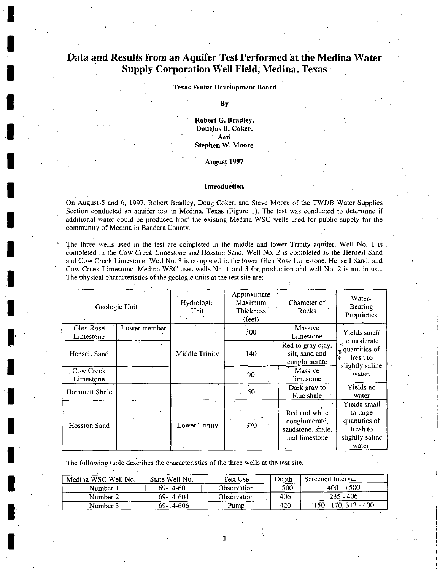## **Data and Results from an Aquifer Test Performed at the Medina Water Supply Corporation Well Field, Medina, Texas'**

## **Texas Water Development Board**

#### **By**

**Robert G. Bradley, Douglas B. Coker,** , **And Stephen W. Moore**

#### **August 1997**

### **Introduction**

On August·5 and 6. 1997, Robert Bradley, Doug'Coker, and Steve Moore of the TWDB Water Supplies Section conducted an aquifer test in Medina, Texas (Figure I). The test was conducted to determine if additional water could be produced from the existing Medina WSC wells used for public supply for the **community of Medina in Bandera County. .**

The three wells used in the test are completed in the middle and lower Trinity aquifer. Well No, 1 is. completed in the *Cow* Creek Limestone and Hosston Sand. Well No.2 is completed in the Hensell Sand and Cow Creek Limestone. Well No. 3 is completed in the lower Glen Rose Limestone, Hensell Sand, and and Cow Creek Limestone. Medina WSC uses wells No, I and 3 for, production arid well No.2 is not in use. **The physical characteristics of the geologic units at the test site are:**

|                        | Geologic Unit | Hydrologic<br>Unit | Approximate<br>Maximum<br>Thickness<br>$(\text{feet})$ | Character of<br>Rocks                                                | Water-<br>Bearing<br>Proprieties                                                   |
|------------------------|---------------|--------------------|--------------------------------------------------------|----------------------------------------------------------------------|------------------------------------------------------------------------------------|
| Glen Rose<br>Limestone | Lower member  | $\bullet$          | 300.                                                   | Massive<br>Limestone                                                 | Yields small                                                                       |
| Hensell Sand           |               | Middle Trinity     | 140                                                    | Red to gray clay,<br>silt, sand and<br>conglomerate                  | $\frac{1}{4}$ to moderate<br>quantities of<br>\$<br>fresh to<br>slightly saline    |
| Cow Creek<br>Limestone |               |                    | 90                                                     | Massive<br>limestone                                                 | water.                                                                             |
| Hammett Shale          |               |                    | 50                                                     | Dark gray to<br>blue shale                                           | Yields no<br>water                                                                 |
| <b>Hosston Sand</b>    |               | Lower Trinity      | 370                                                    | Red and white<br>conglomerate,<br>sandstone, shale,<br>and limestone | Yields small<br>to large<br>quantities of<br>fresh to<br>slightly saline<br>water. |

**The following table describes the characteristics of the three wells at the test site.**

| Medina WSC Well No. | State Well No. | Test Use    | Depth | Screened Interval       |
|---------------------|----------------|-------------|-------|-------------------------|
| Number.             | 69-14-601      | Observation | ±500  | $400 - 500$             |
| Number 2            | 69-14-604      | Observation | 406   | $235 - 406$             |
| Number 3            | 69-14-606      | Pump        | 420   | $150 - 170$ , 312 - 400 |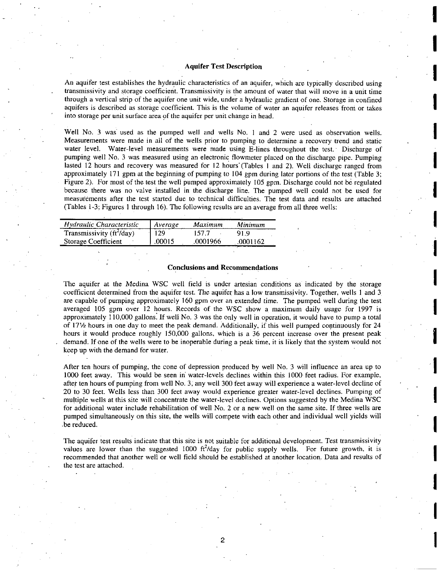### Aquifer Test Description

An aquifer test establishes the hydraulic characteristics of an aquifer, which are typically described using **transmissivity and storage coefficierit. Transmissivity is the amount of water that will** move in **a unit time** through a vertical strip of the aquifer one unit wide, under a hydraulic gradient of one. Storage in confined aquifers is described as storage coefficient. This is the volume of water an aquifer releases from or takes **into storage per unit surface area 9f the aquifer per unit change in head.**

Well No. 3 was used as the pumped well and wells No. 1 and 2 were used as observation wells. Measurements were made in all of the wells prior to pumping to determine a recovery trend and static **water level. Water-level measurements were made using E-lines throughout the test.' Discharge of** pumping well No.3 was measured using an electronic flowmeter placed on the discharge pipe. Pumping lasted 12 hours and recovery was measured for 12 hours (Tables 1 and 2). Well discharge ranged from approximately 171 gpm at the beginning of pumping to 104 gpm during later portions of the test (Table 3; Figure 2). For most of the test the well pumped approximately 105 gpm. Discharge could not be regulated because there was no valve installed in the discharge line. The pumped well could not be used for  $n$  **these neasurements** after the test started due to technical difficulties. The test data and results are attached (Tables 1-3; Figures I through 16). The following results are an average from all three wells:

| Hydraulic Characteristic         | Average | Maximum  | Minimum |
|----------------------------------|---------|----------|---------|
| Transmissivity $(f t^2 / d a y)$ | 129     | 157.7    | 919     |
| Storage Coefficient              | 00015   | .0001966 | 0001162 |

### **Conclusions and Recommendations**

The aquifer at the Medina WSC well field is under artesian conditions as indicated by the storage coefficient determined from the aquifer test. The aquifer has a low transmissivity. Together, wells 1 and 3 are capable of pumping approximately 160 gpm over an extended time. The pumped well during the test averaged 105 gpm over 12 hours. Records of the WSC show a maximum daily usage for 1997 is approximately 110,000 gallons: If well No.3 was the only well in operation, it would have to pump a total of 17<sup>1</sup>/<sub>2</sub> hours in one day to meet the peak demand. Additionally, if this well pumped continuously for 24 hours it would produce roughly 150,000 gallons, which is a 36 percent increase over the present peak demand. If one of the wells were to be inoperable during a peak time, it is likely that the system would not keep up with the demand for waler.

**After** ten hours **of pumping, the cone of depression produced by well No.3 will influence an area up to** 1000 feet away. This would be seen in water-levels declines within this 1000 feet radius. For example, after ten hours of pumping from well No.3; any well 300 feet away will experience a water-level decline of **20 to 30 feet. Wells less than 300 feet away would experience greater water-level declines. Pumping of multiple wells at this site will concentrate the water-level declines. Options suggested by the Medina WSC** for additional water include rehabilitation of well No. 2 or a new well on the same site. If three wells are pumped simultaneously on this site, the wells will compete with each other and individual well yields will .be reduced.

**The aquifer test results indicate that this site is not suitable for additional development. Test transmissivity** values are lower than the suggested 1000  $\text{ft}^2/\text{day}$  for public supply wells. For future growth, it is recommended that another well or well field should be established at another location. Data and results of **the test are attached.**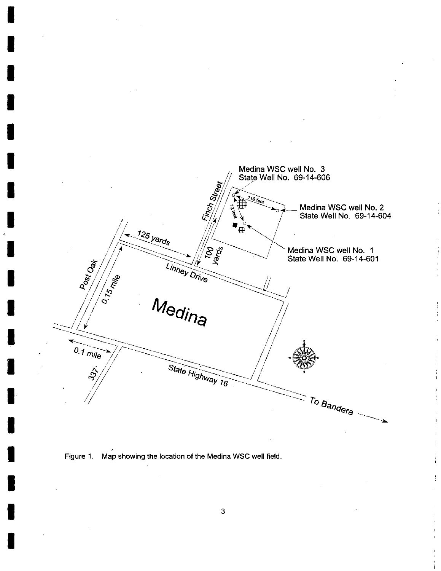



 $\overline{\phantom{a}}$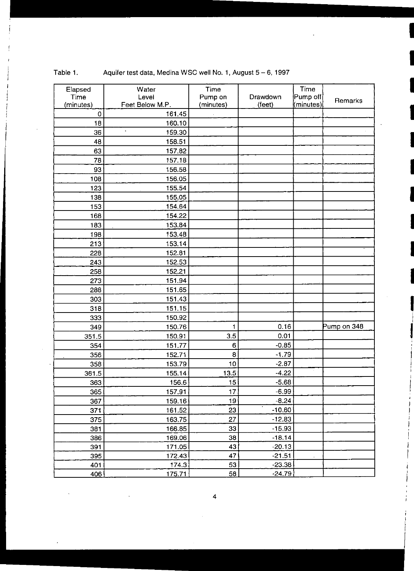| Elapsed   | Water           | Time            |          | Time      |             |
|-----------|-----------------|-----------------|----------|-----------|-------------|
| Time      | Level           | Pump on         | Drawdown | Pump off  | Remarks     |
| (minutes) | Feet Below M.P. | (minutes)       | (feet)   | (minutes) |             |
| $\bf{0}$  | 161.45          |                 |          |           |             |
| 18        | 160.10          |                 |          |           |             |
| 36        | 159.30          |                 |          |           |             |
| 48        | 158.51          |                 |          |           |             |
| 63        | 157.82          |                 |          |           |             |
| 78        | 157.18          |                 |          |           |             |
| 93        | 156.58          |                 |          |           |             |
| 108       | 156.05          |                 |          |           |             |
| 123       | 155.54          |                 |          |           |             |
| 138       | 155.05          |                 |          |           |             |
| 153       | 154.64          |                 |          |           |             |
| 168       | 154.22          |                 |          |           |             |
| 183       | 153.84          |                 |          |           |             |
| 198       | 153.48          |                 |          |           |             |
| 213       | 153.14          |                 |          |           |             |
| 228       | 152.81          |                 |          |           |             |
| 243       | 152.53          |                 |          |           |             |
| 258       | 152.21          |                 |          |           |             |
| 273       | 151.94          |                 |          |           |             |
| 288       | 151.65          |                 |          |           |             |
| 303       | 151.43          |                 |          |           |             |
| 318       | 151.15          |                 |          |           |             |
| 333       | 150.92          |                 |          |           |             |
| 349       | 150.76          | $\mathbf{1}$    | 0.16     |           | Pump on 348 |
| 351.5     | 150.91          | 3.5             | 0.01     |           |             |
| 354       | 151.77          | 6               | $-0.85$  |           |             |
| 356       | 152.71          | 8               | $-1.79$  |           |             |
| 358       | 153.79          | 10              | $-2.87$  |           |             |
| 361.5     | 155.14          | 13.5            | $-4.22$  |           |             |
| 363       | 156.6           | 15              | $-5.68$  |           |             |
| 365       | 157.91          | 17              | $-6.99$  |           |             |
| 367       | 159.16          | 19              | $-8.24$  |           |             |
| 371       | 161.52          | 23              | $-10.60$ |           |             |
| 375       | 163.75          | 27              | $-12.83$ |           |             |
| 381       | 166.85          | 33              | $-15.93$ |           |             |
| 386       | 169.06          | 38              | $-18.14$ |           |             |
| 391       | 171.05          | 43              | $-20.13$ |           |             |
| 395       | 172.43          | 47              | $-21.51$ |           |             |
| 401       | 174.3           | 53              | $-23.38$ |           |             |
| 406       | 175.71          | $\overline{58}$ | $-24.79$ |           |             |

 $\bar{z}$ 

 $\ddot{\phantom{a}}$ 

 $\ddot{\phantom{0}}$ 

## Table 1. Aquifer test data, Medina WSC well No. 1, August 5 - 6, 1997

 $\ddot{\phantom{a}}$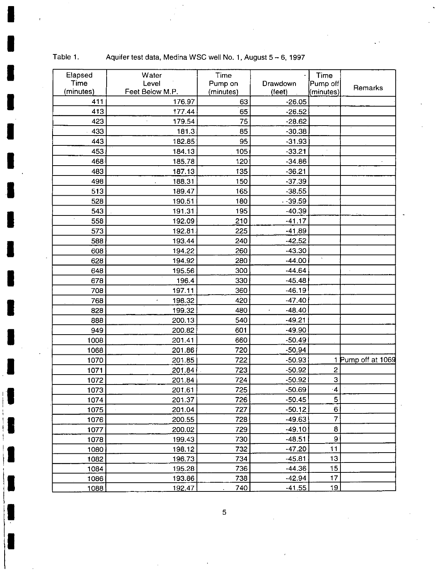| Elapsed   | Water                           | Time      |          | Time               |                    |
|-----------|---------------------------------|-----------|----------|--------------------|--------------------|
| Time      | Level                           | Pump on   | Drawdown | Pump off           |                    |
| (minutes) | Feet Below M.P.                 | (minutes) | (feet)   | (minutes)          | Remarks            |
| 411       | 176.97                          | 63        | $-26.05$ |                    |                    |
| 413       | 177.44                          | 65        | $-26.52$ |                    |                    |
| 423       | 179.54                          | 75        | $-28.62$ |                    |                    |
| 433       | 181.3                           | 85        | $-30.38$ |                    |                    |
| 443       | 182.85                          | 95        | $-31.93$ |                    |                    |
| 453       | 184.13                          | 105       | $-33.21$ |                    |                    |
| 468       | 185.78                          | 120       | $-34.86$ |                    |                    |
| 483       | 187.13                          | 135       | $-36.21$ |                    |                    |
| 498       | 188.31                          | 150       | $-37.39$ |                    |                    |
| 513       | 189.47                          | 165       | $-38.55$ |                    |                    |
| 528       | 190.51                          | 180       | $-39.59$ |                    |                    |
| 543       | 191.31                          | 195       | $-40.39$ |                    |                    |
| 558       | 192.09                          | 210       | $-41.17$ |                    |                    |
| 573       | 192.81                          | 225       | $-41.89$ |                    |                    |
| 588       | 193.44                          | 240       | $-42.52$ |                    |                    |
| 608       | 194.22                          | 260       | $-43.30$ |                    |                    |
| 628       | 194.92                          | 280       | $-44.00$ | $\bar{\mathbf{v}}$ |                    |
| 648       | 195.56                          | 300       | $-44.64$ |                    |                    |
| 678       | 196.4                           | 330       | $-45.48$ |                    |                    |
| 708       | 197.11                          | 360       | $-46.19$ |                    |                    |
| 768       | 198.32<br>$\tilde{\phantom{a}}$ | 420       | $-47.40$ |                    |                    |
| 828       | 199.32                          | 480       | $-48.40$ |                    |                    |
| 888       | 200.13                          | 540       | $-49.21$ |                    |                    |
| 949       | 200.82                          | 601       | $-49.90$ |                    |                    |
| 1008      | 201.41                          | 660       | $-50.49$ |                    |                    |
| 1068      | 201.86                          | 720       | $-50.94$ |                    |                    |
| 1070      | 201.85                          | 722       | $-50.93$ |                    | 1 Pump off at 1069 |
| 1071      | 201.84                          | 723       | $-50.92$ | $\overline{c}$     |                    |
| 1072      | 201.84                          | 724       | $-50.92$ | 3                  |                    |
| 1073      | 201.61                          | 725       | $-50.69$ | $\cdot$ 4          |                    |
| 1074      | 201.37                          | 726       | $-50.45$ | 5                  |                    |
| 1075      | 201.04                          | 727       | $-50.12$ | 6                  |                    |
| 1076      | 200.55                          | 728       | $-49.63$ | 7                  |                    |
| 1077      | 200.02                          | 729       | $-49.10$ | 8                  |                    |
| 1078      | 199.43                          | 730       | $-48.51$ | 9                  |                    |
| 1080      | 198.12                          | 732       | $-47.20$ | 11                 |                    |
| 1082      | 196.73                          | 734       | $-45.81$ | 13                 |                    |
| 1084      | 195.28                          | 736       | $-44.36$ | 15                 |                    |
| 1086      | 193.86                          | 738       | $-42.94$ | 17                 |                    |
| 1088      | 192.47                          | 740       | $-41.55$ | <u> 19</u>         |                    |

Table 1. Aquifer test data, Medina WSC well No. 1, August 5 - 6, 1997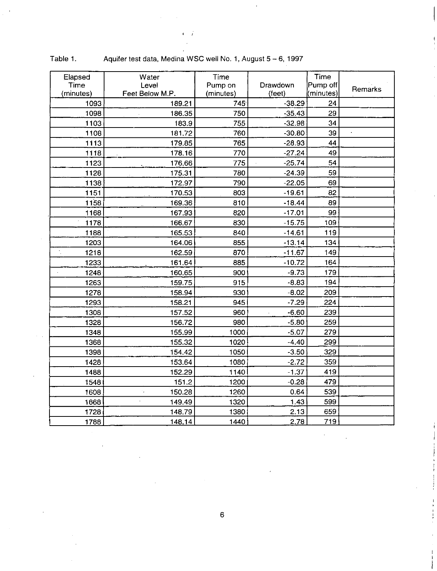| Elapsed    | Water                        | Time      |          | Time      |                             |
|------------|------------------------------|-----------|----------|-----------|-----------------------------|
| Time       | Level                        | Pump on   | Drawdown | Pump off  |                             |
| (minutes)  | Feet Below M.P.              | (minutes) | (feet)   | (minutes) | Remarks                     |
| 1093       | 189.21                       | 745       | $-38.29$ | 24        |                             |
| 1098       | 186.35                       | 750       | $-35.43$ | 29        |                             |
| 1103       | 183.9                        | 755       | $-32.98$ | 34        |                             |
| 1108       | 181.72                       | 760       | $-30.80$ | 39        | $\hat{\boldsymbol{\cdot} }$ |
| 1113       | 179.85                       | 765       | $-28.93$ | 44        |                             |
| 1118       | 178.16                       | 770       | $-27.24$ | 49        |                             |
| 1123       | 176.66                       | 775       | $-25.74$ | 54        |                             |
| 1128       | 175.31                       | 780       | $-24.39$ | 59        |                             |
| 1138       | 172.97                       | 790       | $-22.05$ | 69        |                             |
| 1151       | 170.53                       | 803       | $-19.61$ | 82        |                             |
| 1158       | 169.36                       | 810       | $-18.44$ | 89        |                             |
| 1168       | 167.93                       | 820       | $-17.01$ | 99        |                             |
| 1178       | 166.67                       | 830       | $-15.75$ | 109       |                             |
| 1188       | 165.53                       | 840       | $-14.61$ | 119       |                             |
| 1203       | 164.06                       | 855       | $-13.14$ | 134       |                             |
| ÷,<br>1218 | 162.59                       | 870       | $-11.67$ | 149       |                             |
| 1233       | 161.64                       | 885       | $-10.72$ | 164       |                             |
| 1248       | 160.65                       | 900       | $-9.73$  | 179       |                             |
| 1263       | 159.75                       | 915       | $-8.83$  | 194       |                             |
| 1278       | 158.94                       | 930       | $-8.02$  | 209       |                             |
| 1293       | 158.21                       | 945       | $-7.29$  | 224       |                             |
| 1308       | 157.52                       | 960       | $-6.60$  | 239       |                             |
| 1328       | 156.72                       | 980       | $-5.80$  | 259       |                             |
| 1348       | 155.99                       | 1000      | $-5.07$  | 279       |                             |
| 1368       | 155.32                       | 1020      | $-4.40$  | 299       |                             |
| 1398       | 154.42                       | 1050      | $-3.50$  | 329       |                             |
| 1428       | 153.64                       | 1080      | $-2.72$  | 359       |                             |
| 1488       | 152.29                       | 1140      | $-1.37$  | 419       |                             |
| 1548       | 151.2                        | 1200      | $-0.28$  | 479       |                             |
| 1608       | $\cdot$ ,<br>150.28          | 1260      | 0.64     | 539       |                             |
| 1668       | 149.49<br>$\bar{\mathbf{r}}$ | 1320      | 1.43     | 599       |                             |
| 1728       | 148.79                       | 1380      | 2.13     | 659       |                             |
| 1788       | 148.14                       | 1440      | 2,78     | 719       |                             |

| Table 1. | Aquifer test data, Medina WSC well No. 1, August 5 - 6, 1997 |  |
|----------|--------------------------------------------------------------|--|
|          |                                                              |  |

 $\cdot$  ,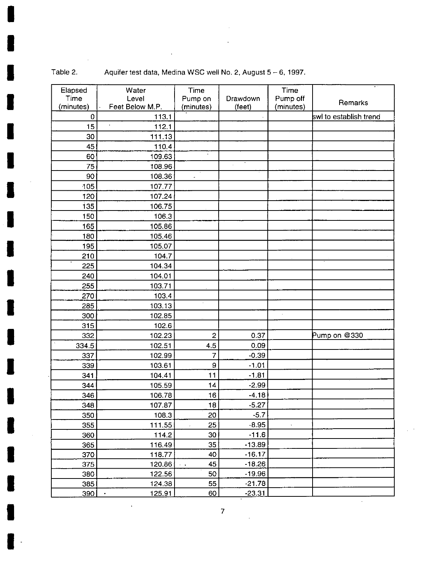Table 2. Aquifer test data, Medina WSC well No. 2, August 5 - 6, 1997.

×

| Elapsed     | Water               | Time                 |            | Time      |                        |
|-------------|---------------------|----------------------|------------|-----------|------------------------|
| Time        | Level               | Pump on              | Drawdown   | Pump off  | Remarks                |
| (minutes)   | Feet Below M.P.     | (minutes)            | (feet)     | (minutes) |                        |
| $\mathbf 0$ | 113.1               |                      |            |           | swl to establish trend |
| 15          | 112.1               |                      |            |           |                        |
| 30          | 111.13              |                      |            |           |                        |
| 45          | 110.4               |                      |            |           |                        |
| 60          | 109.63              | $\ddot{\phantom{0}}$ |            |           |                        |
| 75          | 108.96              |                      | $\epsilon$ |           |                        |
| 90          | 108.36              | ä,                   |            |           |                        |
| 105         | 107.77              |                      |            |           |                        |
| 120         | 107.24              |                      |            |           |                        |
| 135         | 106.75              |                      |            |           |                        |
| 150         | 106.3               |                      |            |           |                        |
| 165         | 105.86              |                      |            |           |                        |
| 180         | 105.46              |                      |            |           |                        |
| 195         | 105.07              |                      |            |           |                        |
| 210         | 104.7               |                      |            |           |                        |
| 225         | 104.34              |                      |            |           |                        |
| 240         | 104.01              |                      |            |           |                        |
| 255         | 103.71              |                      |            |           |                        |
| 270         | 103.4               |                      |            |           |                        |
| 285         | 103.13              | ä,                   |            |           |                        |
| 300         | 102.85              |                      |            |           |                        |
| 315         | 102.6               |                      |            |           |                        |
| 332         | 102.23              | $\overline{c}$       | 0.37       |           | Pump on @330           |
| 334.5       | 102.51              | 4.5                  | 0.09       |           |                        |
| 337         | 102.99              | $\overline{7}$       | $-0.39$    |           |                        |
| 339         | 103.61              | 9                    | $-1.01$    |           |                        |
| 341         | 104.41              | 11                   | $-1.81$    |           |                        |
| 344         | 105.59              | 14                   | $-2.99$    |           |                        |
| 346         | 106.78              | 16                   | $-4.18$    |           |                        |
| 348         | 107.87              | 18                   | $-5.27$    |           |                        |
| 350         | 108.3               | 20                   | $-5.7$     |           |                        |
| 355         | 111.55              | 25                   | $-8.95$    |           |                        |
| 360         | 114.2               | 30                   | $-11.6$    |           |                        |
| 365         | 116.49              | 35                   | $-13.89$   |           |                        |
| 370         | 118.77              | 40                   | $-16.17$   |           |                        |
| 375         | 120.86              | 45<br>$\sim$ $\sim$  | $-18.26$   |           |                        |
| 380         | 122.56              | 50                   | $-19.96$   |           |                        |
| 385         | 124.38              | 55                   | $-21.78$   |           |                        |
| 390         | 125.91<br>$\bullet$ | 60                   | $-23.31$   |           |                        |

 $\ddot{\phantom{a}}$ 

 $\bar{z}$ 

 $\sim$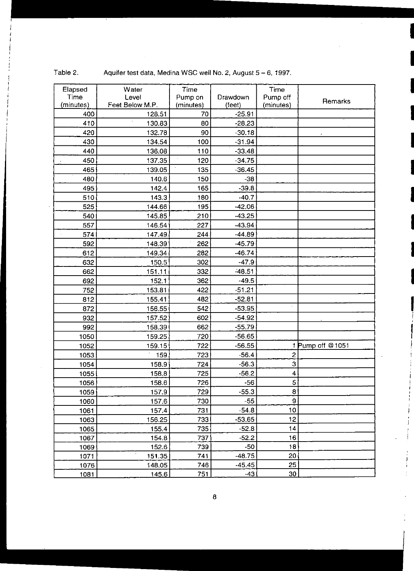| Elapsed<br>Time | Water<br>Level  | Time<br>Pump on | Drawdown | Time<br>Pump off |                  |
|-----------------|-----------------|-----------------|----------|------------------|------------------|
| (minutes)       | Feet Below M.P. | (minutes)       | (feet)   | (minutes)        | Remarks          |
| 400             | 128.51          | 70              | $-25.91$ |                  |                  |
| 410             | 130.83          | 80              | $-28.23$ |                  |                  |
| 420             | 132.78          | 90              | $-30.18$ |                  |                  |
| 430             | 134.54          | 100             | $-31.94$ |                  |                  |
| 440             | 136.08          | 110             | $-33.48$ |                  |                  |
| 450             | 137.35          | 120             | $-34.75$ |                  |                  |
| 465             | 139.05          | 135             | $-36.45$ |                  |                  |
| 480             | 140.6           | 150             | $-38$    |                  |                  |
| 495             | 142.4           | 165             | $-39.8$  |                  |                  |
| 510             | 143.3           | 180             | $-40.7$  |                  |                  |
| 525             | 144.66          | 195             | $-42.06$ |                  |                  |
| 540             | 145.85          | 210             | $-43.25$ |                  |                  |
| 557             | 146.54          | 227             | $-43.94$ |                  |                  |
| 574             | 147.49          | 244             | $-44.89$ |                  |                  |
| 592             | 148.39          | 262             | $-45.79$ |                  |                  |
| 612             | 149.34          | 282             | $-46.74$ |                  |                  |
| 632             | 150.5           | 302             | $-47.9$  |                  |                  |
| 662             | 151.11          | 332             | $-48.51$ |                  |                  |
| 692             | 152.1           | 362             | $-49.5$  |                  |                  |
| 752             | 153.81          | 422             | $-51.21$ |                  |                  |
| 812             | 155.41          | 482             | $-52.81$ |                  |                  |
| 872             | 156.55          | 542             | $-53.95$ | $\alpha$         |                  |
| 932             | 157.52          | 602             | $-54.92$ |                  |                  |
| 992             | 158.39          | 662             | $-55.79$ |                  |                  |
| 1050            | 159.25          | 720             | $-56.65$ |                  |                  |
| 1052            | 159.15          | 722             | $-56.55$ |                  | 1 Pump off @1051 |
| 1053            | 159             | 723             | $-56.4$  | 2                |                  |
| 1054            | 158.9           | 724             | $-56.3$  | 3                |                  |
| 1055            | 158.8           | 725             | $-56.2$  | 4                |                  |
| 1056            | 158.6           | 726             | $-56$    | 5                |                  |
| 1059            | 157.9           | 729             | $-55.3$  | 8                |                  |
| 1060            | 157.6           | 730             | $-55$    | 9                |                  |
| 1061            | 157.4           | 731             | $-54.8$  | 10               |                  |
| 1063            | 156.25          | 733             | $-53.65$ | 12               |                  |
| 1065            | 155.4           | 735             | $-52.8$  | 14               |                  |
| 1067            | 154.8           | 737             | $-52.2$  | 16               |                  |
| 1069            | 152.6           | 739             | $-50$    | 18               |                  |
| 1071            | 151.35          | 741             | $-48.75$ | 20               |                  |
| 1076            | 148.05          | 746             | $-45.45$ | 25               |                  |
| 1081            | 145.6           | 751             | $-43$    | 30 <sub>2</sub>  |                  |

Table 2. Aquifer test data, Medina WSC well No.2, August 5 - 6, 1997.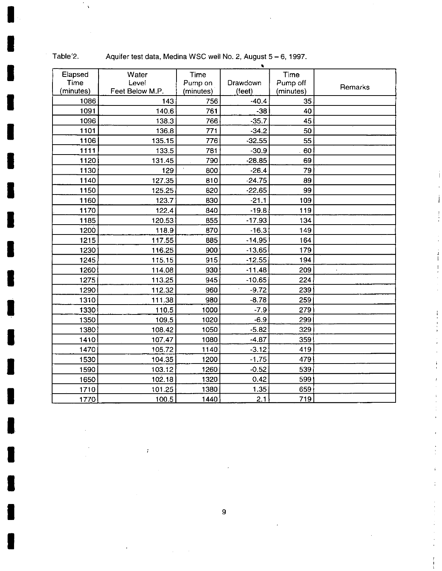|           |                 |           | ٠        |           |                |
|-----------|-----------------|-----------|----------|-----------|----------------|
| Elapsed   | Water           | Time      |          | Time      |                |
| Time      | Level           | Pump on   | Drawdown | Pump off  | <b>Remarks</b> |
| (minutes) | Feet Below M.P. | (minutes) | (feet)   | (minutes) |                |
| 1086      | 143             | 756       | $-40.4$  | 35        |                |
| 1091      | 140.6           | 761       | $-38$    | 40        |                |
| 1096      | 138.3           | 766       | $-35.7$  | 45        |                |
| 1101      | 136.8           | 771       | $-34.2$  | 50        |                |
| 1106      | 135.15          | 776       | $-32.55$ | 55        |                |
| 1111      | 133.5           | 781       | $-30.9$  | 60        |                |
| 1120      | 131.45          | 790       | $-28.85$ | 69        |                |
| 1130      | 129             | 800       | $-26.4$  | 79        |                |
| 1140      | 127.35          | 810       | $-24.75$ | 89        |                |
| 1150      | 125.25          | 820       | $-22.65$ | 99        |                |
| 1160      | 123.7           | 830       | $-21.1$  | 109       |                |
| 1170      | 122.4           | 840       | $-19.8$  | 119       |                |
| 1185      | 120.53          | 855       | $-17.93$ | 134       |                |
| 1200      | 118.9           | 870       | $-16.3$  | 149       |                |
| 1215      | 117.55          | 885       | $-14.95$ | 164       |                |
| 1230      | 116.25          | 900       | $-13.65$ | 179       |                |
| 1245      | 115.15          | 915       | $-12.55$ | 194       |                |
| 1260      | 114.08          | 930       | $-11.48$ | 209       |                |
| 1275      | 113.25          | 945       | $-10.65$ | 224       |                |
| 1290      | 112.32          | 960       | $-9.72$  | 239       |                |
| 1310      | 111.38          | 980       | $-8.78$  | 259       |                |
| 1330      | 110.5           | 1000      | $-7.9$   | 279       |                |
| 1350      | 109.5           | 1020      | $-6.9$   | 299       |                |
| 1380      | 108.42          | 1050      | $-5.82$  | 329       |                |
| 1410      | 107.47          | 1080      | $-4.87$  | 359       |                |
| 1470      | 105.72          | 1140      | $-3.12$  | 419       |                |
| 1530      | 104.35          | 1200      | $-1.75$  | 479       |                |
| 1590      | 103.12          | 1260      | $-0.52$  | 539       |                |
| 1650      | 102.18          | 1320      | 0.42     | 599       |                |
| 1710      | 101.25          | 1380      | 1.35     | 659       |                |
| 1770      | 100.5           | 1440      | 2.1      | 719       |                |

 $\ddot{\phantom{a}}$ 

Table'2. Aquifer test data, Medina WSC well No. 2, August 5 - 6, 1997.

- 1

 $\bar{\beta}$ 

 $\boldsymbol{\beta}$ 

 $\bar{t}$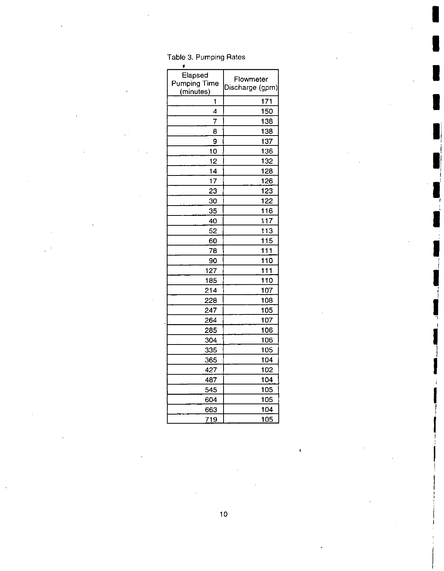| Elapsed<br><b>Pumping Time</b> | Flowmeter<br>Discharge (gpm) |  |  |
|--------------------------------|------------------------------|--|--|
| (minutes)                      |                              |  |  |
| 1                              | 171                          |  |  |
| 4                              | 150                          |  |  |
| $\overline{7}$                 | 138                          |  |  |
| 8                              | 138                          |  |  |
| 9                              | 137                          |  |  |
| 10                             | 136                          |  |  |
| 12                             | 132                          |  |  |
| 14                             | 128                          |  |  |
| 17                             | 126                          |  |  |
| 23                             | 123                          |  |  |
| 30                             | 122                          |  |  |
| 35                             | 116                          |  |  |
| 40                             | 117                          |  |  |
| 52                             | 113                          |  |  |
| 60                             | 115                          |  |  |
| 78                             | 111                          |  |  |
| 90                             | 110                          |  |  |
| 127                            | 111                          |  |  |
| 185                            | 110                          |  |  |
| 214                            | 107                          |  |  |
| 228                            | 108                          |  |  |
| 247                            | 105                          |  |  |
| 264                            | 107                          |  |  |
| 285                            | 106                          |  |  |
| 304                            | 106                          |  |  |
| 335                            | 105                          |  |  |
| 365                            | 104                          |  |  |
| 427                            | 102                          |  |  |
| 487                            | 104                          |  |  |
| 545                            | 105                          |  |  |
| 604                            | 105                          |  |  |
| 663                            | 104                          |  |  |
| 719                            | 105                          |  |  |

Table 3. Pumping Rates

 $\ddot{\phantom{0}}$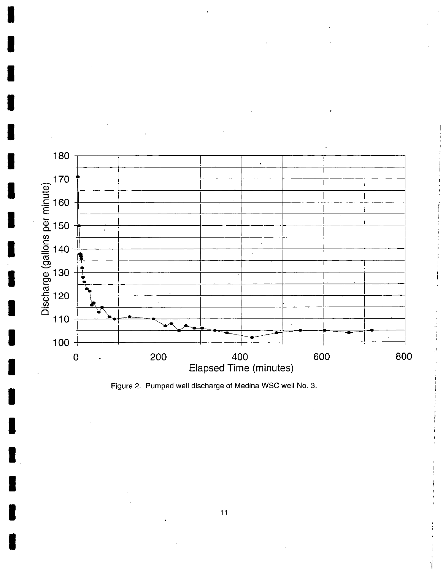

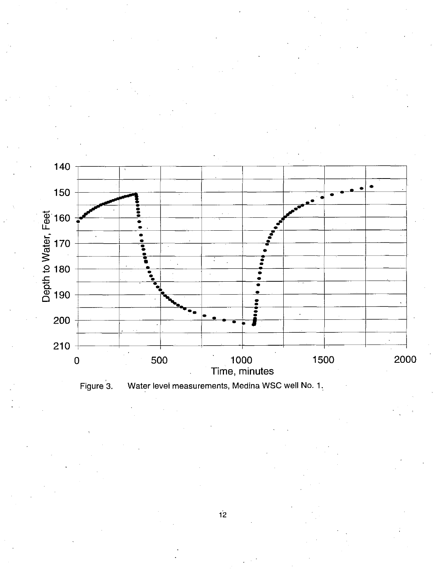

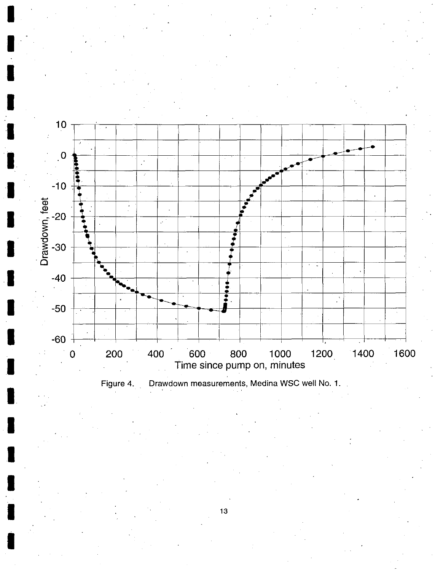

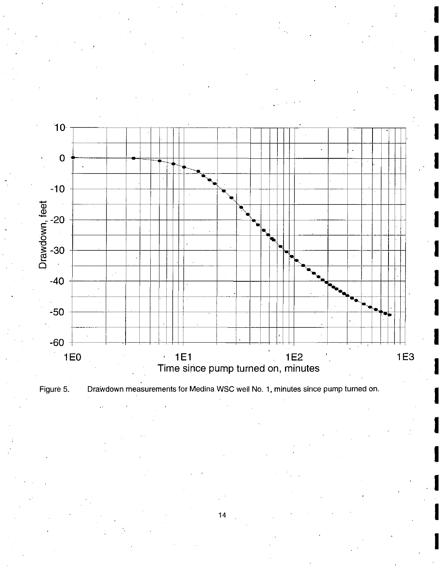

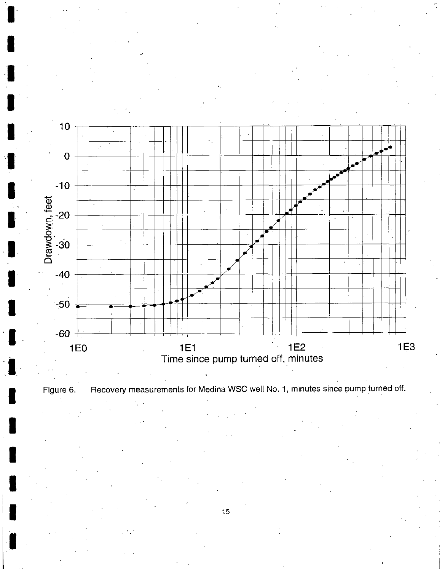

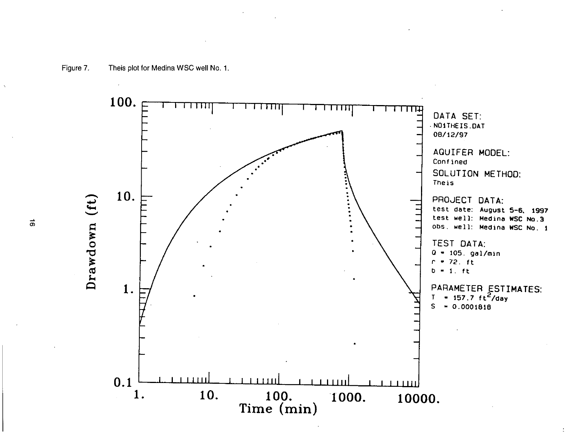

 $\vec{a}$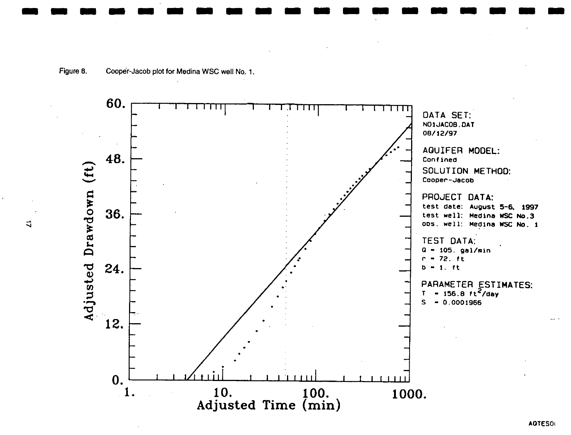![](_page_18_Figure_1.jpeg)

₹

**ADTESOI**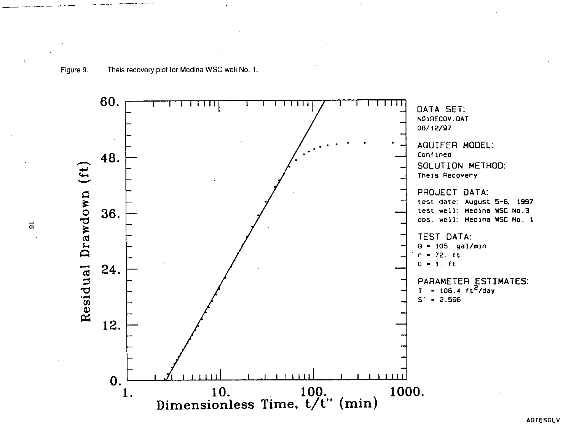![](_page_19_Figure_1.jpeg)

 $\vec{\circ}$ 

**AGTESOLV**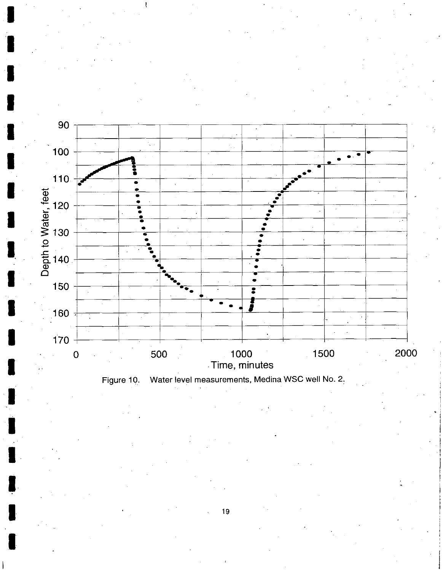![](_page_20_Figure_0.jpeg)

![](_page_20_Figure_1.jpeg)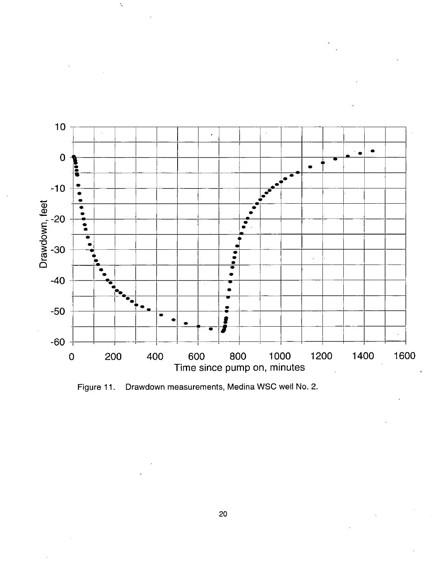![](_page_21_Figure_0.jpeg)

Ň

Figure 11. Drawdown measurements, Medina WSC well No. 2.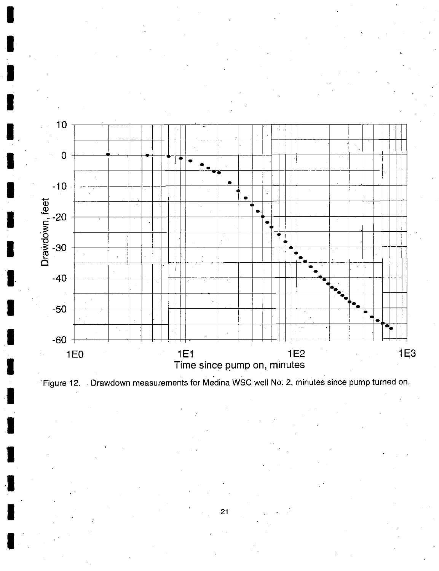![](_page_22_Figure_0.jpeg)

![](_page_22_Figure_1.jpeg)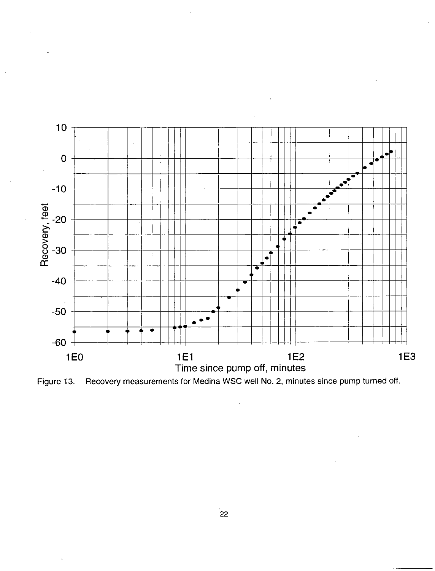![](_page_23_Figure_0.jpeg)

![](_page_23_Figure_1.jpeg)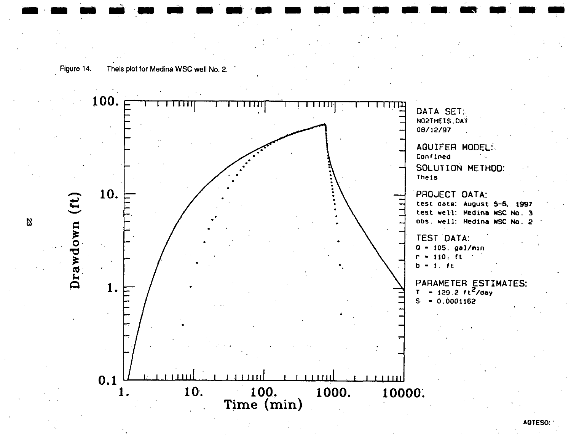![](_page_24_Figure_0.jpeg)

![](_page_24_Figure_1.jpeg)

AQTESOl'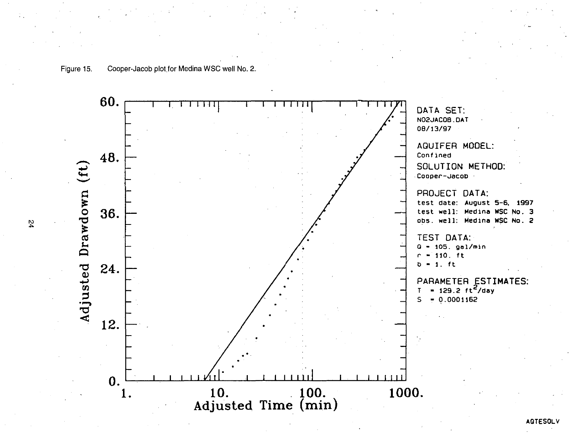![](_page_25_Figure_0.jpeg)

![](_page_25_Figure_1.jpeg)

**AGTESOLV**